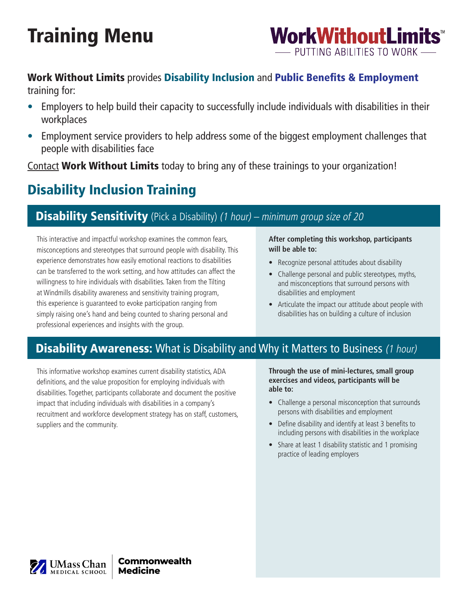# Training Menu



# Work Without Limits provides Disability Inclusion and Public Benefits & Employment

training for:

- Employers to help build their capacity to successfully include individuals with disabilities in their workplaces
- Employment service providers to help address some of the biggest employment challenges that people with disabilities face

[Contact](http://www.workwithoutlimits.org/contact/) Work Without Limits today to bring any of these trainings to your organization!

# Disability Inclusion Training

# **Disability Sensitivity** (Pick a Disability) (1 hour) – minimum group size of 20

This interactive and impactful workshop examines the common fears, misconceptions and stereotypes that surround people with disability. This experience demonstrates how easily emotional reactions to disabilities can be transferred to the work setting, and how attitudes can affect the willingness to hire individuals with disabilities. Taken from the Tilting at Windmills disability awareness and sensitivity training program, this experience is guaranteed to evoke participation ranging from simply raising one's hand and being counted to sharing personal and professional experiences and insights with the group.

**After completing this workshop, participants will be able to:** 

- Recognize personal attitudes about disability
- Challenge personal and public stereotypes, myths, and misconceptions that surround persons with disabilities and employment
- Articulate the impact our attitude about people with disabilities has on building a culture of inclusion

# **Disability Awareness:** What is Disability and Why it Matters to Business (1 hour)

This informative workshop examines current disability statistics, ADA definitions, and the value proposition for employing individuals with disabilities. Together, participants collaborate and document the positive impact that including individuals with disabilities in a company's recruitment and workforce development strategy has on staff, customers, suppliers and the community.

**Through the use of mini-lectures, small group exercises and videos, participants will be able to:** 

- Challenge a personal misconception that surrounds persons with disabilities and employment
- Define disability and identify at least 3 benefits to including persons with disabilities in the workplace
- Share at least 1 disability statistic and 1 promising practice of leading employers

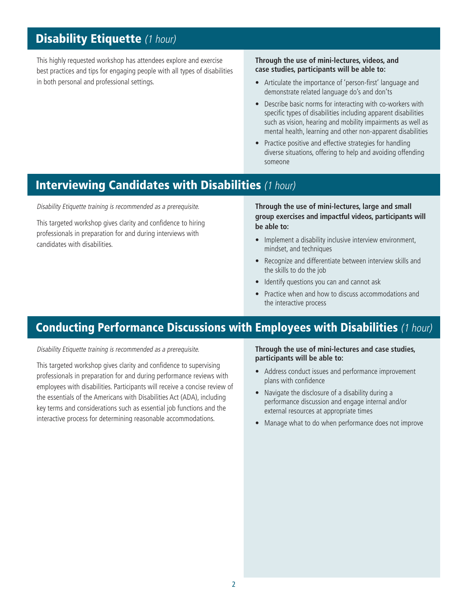# **Disability Etiquette (1 hour)**

This highly requested workshop has attendees explore and exercise best practices and tips for engaging people with all types of disabilities in both personal and professional settings.

#### **Through the use of mini-lectures, videos, and case studies, participants will be able to:**

- Articulate the importance of 'person-first' language and demonstrate related language do's and don'ts
- Describe basic norms for interacting with co-workers with specific types of disabilities including apparent disabilities such as vision, hearing and mobility impairments as well as mental health, learning and other non-apparent disabilities
- Practice positive and effective strategies for handling diverse situations, offering to help and avoiding offending someone

## **Interviewing Candidates with Disabilities (1 hour)**

Disability Etiquette training is recommended as a prerequisite.

This targeted workshop gives clarity and confdence to hiring professionals in preparation for and during interviews with candidates with disabilities.

**Through the use of mini-lectures, large and small group exercises and impactful videos, participants will be able to:** 

- Implement a disability inclusive interview environment, mindset, and techniques
- Recognize and differentiate between interview skills and the skills to do the job
- Identify questions you can and cannot ask
- Practice when and how to discuss accommodations and the interactive process

# Conducting Performance Discussions with Employees with Disabilities (1 hour)

Disability Etiquette training is recommended as a prerequisite.

This targeted workshop gives clarity and confidence to supervising professionals in preparation for and during performance reviews with employees with disabilities. Participants will receive a concise review of the essentials of the Americans with Disabilities Act (ADA), including key terms and considerations such as essential job functions and the interactive process for determining reasonable accommodations.

**Through the use of mini-lectures and case studies, participants will be able to:** 

- Address conduct issues and performance improvement plans with confidence
- Navigate the disclosure of a disability during a performance discussion and engage internal and/or external resources at appropriate times
- Manage what to do when performance does not improve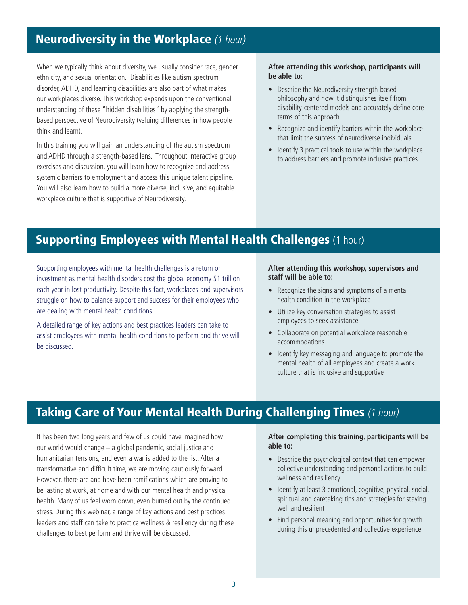# **Neurodiversity in the Workplace** (1 hour)

think and learn). When we typically think about diversity, we usually consider race, gender, **After attending this workshop, participants will** ethnicity, and sexual orientation. Disabilities like autism spectrum **be able to:**  disorder, ADHD, and learning disabilities are also part of what makes our workplaces diverse. This workshop expands upon the conventional understanding of these "hidden disabilities" by applying the strengthbased perspective of Neurodiversity (valuing differences in how people

 and ADHD through a strength-based lens. Throughout interactive group systemic barriers to employment and access this unique talent pipeline. workplace culture that is supportive of Neurodiversity. In this training you will gain an understanding of the autism spectrum exercises and discussion, you will learn how to recognize and address You will also learn how to build a more diverse, inclusive, and equitable

- Describe the Neurodiversity strength-based philosophy and how it distinguishes itself from disability-centered models and accurately define core terms of this approach.
- Recognize and identify barriers within the workplace that limit the success of neurodiverse individuals.
- Identify 3 practical tools to use within the workplace to address barriers and promote inclusive practices.

# **Supporting Employees with Mental Health Challenges (1 hour)**

Supporting employees with mental health challenges is a return on investment as mental health disorders cost the global economy \$1 trillion each year in lost productivity. Despite this fact, workplaces and supervisors struggle on how to balance support and success for their employees who are dealing with mental health conditions.

A detailed range of key actions and best practices leaders can take to assist employees with mental health conditions to perform and thrive will be discussed.

#### **After attending this workshop, supervisors and staff will be able to:**

- Recognize the signs and symptoms of a mental health condition in the workplace
- Utilize key conversation strategies to assist employees to seek assistance
- Collaborate on potential workplace reasonable accommodations
- Identify key messaging and language to promote the mental health of all employees and create a work culture that is inclusive and supportive

# **Taking Care of Your Mental Health During Challenging Times (1 hour)**

It has been two long years and few of us could have imagined how our world would change – a global pandemic, social justice and humanitarian tensions, and even a war is added to the list. After a transformative and difficult time, we are moving cautiously forward. However, there are and have been ramifications which are proving to be lasting at work, at home and with our mental health and physical health. Many of us feel worn down, even burned out by the continued stress. During this webinar, a range of key actions and best practices leaders and staff can take to practice wellness & resiliency during these challenges to best perform and thrive will be discussed.

**After completing this training, participants will be able to:** 

- Describe the psychological context that can empower collective understanding and personal actions to build wellness and resiliency
- Identify at least 3 emotional, cognitive, physical, social, spiritual and caretaking tips and strategies for staying well and resilient
- Find personal meaning and opportunities for growth during this unprecedented and collective experience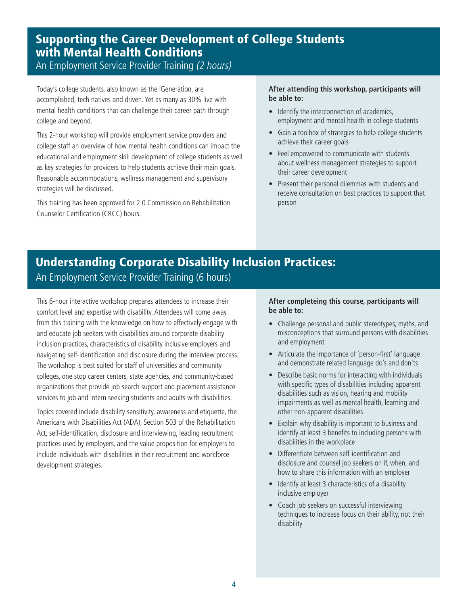### Supporting the Career Development of College Students with Mental Health Conditions An Employment Service Provider Training (2 hours)

Today's college students, also known as the iGeneration, are accomplished, tech natives and driven. Yet as many as 30% live with mental health conditions that can challenge their career path through college and beyond.

This 2-hour workshop will provide employment service providers and college staff an overview of how mental health conditions can impact the educational and employment skill development of college students as well as key strategies for providers to help students achieve their main goals. Reasonable accommodations, wellness management and supervisory strategies will be discussed.

This training has been approved for 2.0 Commission on Rehabilitation Counselor Certification (CRCC) hours.

### **After attending this workshop, participants will be able to:**

- Identify the interconnection of academics, employment and mental health in college students
- Gain a toolbox of strategies to help college students achieve their career goals
- Feel empowered to communicate with students about wellness management strategies to support their career development
- Present their personal dilemmas with students and receive consultation on best practices to support that person

# Understanding Corporate Disability Inclusion Practices: An Employment Service Provider Training (6 hours)

This 6-hour interactive workshop prepares attendees to increase their comfort level and expertise with disability. Attendees will come away from this training with the knowledge on how to effectively engage with and educate job seekers with disabilities around corporate disability inclusion practices, characteristics of disability inclusive employers and navigating self-identification and disclosure during the interview process. The workshop is best suited for staff of universities and community colleges, one stop career centers, state agencies, and community-based organizations that provide job search support and placement assistance services to job and intern seeking students and adults with disabilities.

Topics covered include disability sensitivity, awareness and etiquette, the Americans with Disabilities Act (ADA), Section 503 of the Rehabilitation Act, self-identification, disclosure and interviewing, leading recruitment practices used by employers, and the value proposition for employers to include individuals with disabilities in their recruitment and workforce development strategies.

### **After completeing this course, participants will be able to:**

- Challenge personal and public stereotypes, myths, and misconceptions that surround persons with disabilities and employment
- Articulate the importance of 'person-first' language and demonstrate related language do's and don'ts
- Describe basic norms for interacting with individuals with specific types of disabilities including apparent disabilities such as vision, hearing and mobility impairments as well as mental health, learning and other non-apparent disabilities
- Explain why disability is important to business and identify at least 3 benefits to including persons with disabilities in the workplace
- Differentiate between self-identification and disclosure and counsel job seekers on if, when, and how to share this information with an employer
- Identify at least 3 characteristics of a disability inclusive employer
- Coach job seekers on successful interviewing techniques to increase focus on their ability, not their disability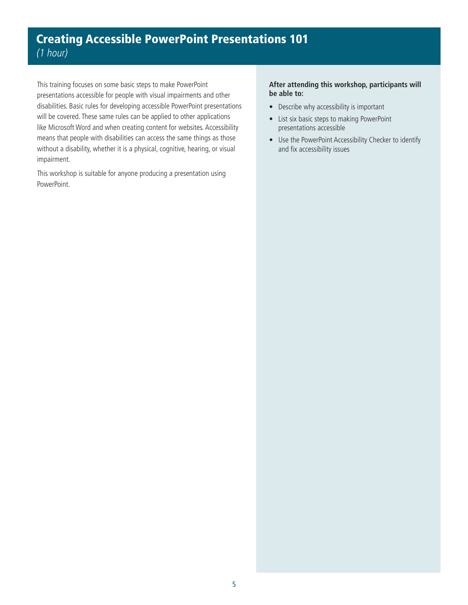# Creating Accessible PowerPoint Presentations 101 (1 hour)

This training focuses on some basic steps to make PowerPoint presentations accessible for people with visual impairments and other disabilities. Basic rules for developing accessible PowerPoint presentations will be covered. These same rules can be applied to other applications like Microsoft Word and when creating content for websites. Accessibility means that people with disabilities can access the same things as those without a disability, whether it is a physical, cognitive, hearing, or visual impairment.

This workshop is suitable for anyone producing a presentation using PowerPoint.

### **After attending this workshop, participants will be able to:**

- Describe why accessibility is important
- List six basic steps to making PowerPoint presentations accessible
- Use the PowerPoint Accessibility Checker to identify and fix accessibility issues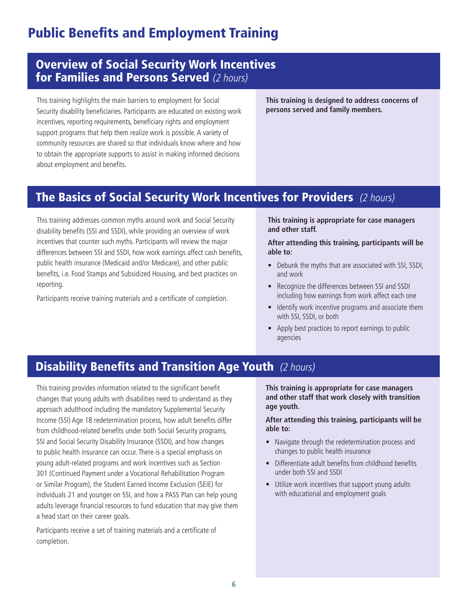# **Public Benefits and Employment Training**

# Overview of Social Security Work Incentives for Families and Persons Served (2 hours)

This training highlights the main barriers to employment for Social **This training is designed to address concerns of**  Security disability beneficiaries. Participants are educated on existing work **persons served and family members.** incentives, reporting requirements, beneficiary rights and employment support programs that help them realize work is possible. A variety of community resources are shared so that individuals know where and how to obtain the appropriate supports to assist in making informed decisions about employment and benefits.

# The Basics of Social Security Work Incentives for Providers (2 hours)

This training addresses common myths around work and Social Security disability benefits (SSI and SSDI), while providing an overview of work incentives that counter such myths. Participants will review the major differences between SSI and SSDI, how work earnings affect cash benefits, public health insurance (Medicaid and/or Medicare), and other public benefits, i.e. Food Stamps and Subsidized Housing, and best practices on reporting.

Participants receive training materials and a certificate of completion.

**This training is appropriate for case managers and other staff.** 

**After attending this training, participants will be able to:** 

- Debunk the myths that are associated with SSI, SSDI, and work
- Recognize the differences between SSI and SSDI including how earnings from work affect each one
- Identify work incentive programs and associate them with SSI, SSDI, or both
- Apply best practices to report earnings to public agencies

# **Disability Benefits and Transition Age Youth** (2 hours)

This training provides information related to the significant benefit changes that young adults with disabilities need to understand as they approach adulthood including the mandatory Supplemental Security Income (SSI) Age 18 redetermination process, how adult benefits differ from childhood-related benefits under both Social Security programs, SSI and Social Security Disability Insurance (SSDI), and how changes to public health insurance can occur. There is a special emphasis on young adult-related programs and work incentives such as Section 301 (Continued Payment under a Vocational Rehabilitation Program or Similar Program), the Student Earned Income Exclusion (SEIE) for individuals 21 and younger on SSI, and how a PASS Plan can help young adults leverage financial resources to fund education that may give them a head start on their career goals.

Participants receive a set of training materials and a certificate of completion.

**This training is appropriate for case managers and other staff that work closely with transition age youth.** 

**After attending this training, participants will be able to:** 

- Navigate through the redetermination process and changes to public health insurance
- Differentiate adult benefits from childhood benefits under both SSI and SSDI
- Utilize work incentives that support young adults with educational and employment goals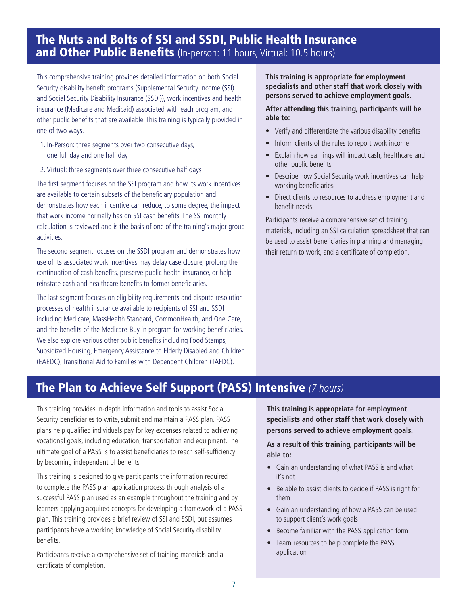# The Nuts and Bolts of SSI and SSDI, Public Health Insurance and Other Public Benefits (In-person: 11 hours, Virtual: 10.5 hours)

This comprehensive training provides detailed information on both Social Security disability benefit programs (Supplemental Security Income (SSI) and Social Security Disability Insurance (SSDI)), work incentives and health insurance (Medicare and Medicaid) associated with each program, and other public benefits that are available. This training is typically provided in one of two ways.

- 1. In-Person: three segments over two consecutive days, one full day and one half day
- 2. Virtual: three segments over three consecutive half days

The first segment focuses on the SSI program and how its work incentives are available to certain subsets of the beneficiary population and demonstrates how each incentive can reduce, to some degree, the impact that work income normally has on SSI cash benefits. The SSI monthly calculation is reviewed and is the basis of one of the training's major group activities.

The second segment focuses on the SSDI program and demonstrates how use of its associated work incentives may delay case closure, prolong the continuation of cash benefits, preserve public health insurance, or help reinstate cash and healthcare benefits to former beneficiaries.

The last segment focuses on eligibility requirements and dispute resolution processes of health insurance available to recipients of SSI and SSDI including Medicare, MassHealth Standard, CommonHealth, and One Care, and the benefits of the Medicare-Buy in program for working beneficiaries. We also explore various other public benefits including Food Stamps, Subsidized Housing, Emergency Assistance to Elderly Disabled and Children (EAEDC), Transitional Aid to Families with Dependent Children (TAFDC).

**This training is appropriate for employment specialists and other staff that work closely with persons served to achieve employment goals.** 

**After attending this training, participants will be able to:** 

- Verify and differentiate the various disability benefits
- Inform clients of the rules to report work income
- Explain how earnings will impact cash, healthcare and other public benefits
- Describe how Social Security work incentives can help working beneficiaries
- Direct clients to resources to address employment and benefit needs

Participants receive a comprehensive set of training materials, including an SSI calculation spreadsheet that can be used to assist beneficiaries in planning and managing their return to work, and a certificate of completion.

# The Plan to Achieve Self Support (PASS) Intensive (7 hours)

This training provides in-depth information and tools to assist Social Security beneficiaries to write, submit and maintain a PASS plan. PASS plans help qualifed individuals pay for key expenses related to achieving vocational goals, including education, transportation and equipment. The ultimate goal of a PASS is to assist beneficiaries to reach self-sufficiency by becoming independent of benefits.

This training is designed to give participants the information required to complete the PASS plan application process through analysis of a successful PASS plan used as an example throughout the training and by learners applying acquired concepts for developing a framework of a PASS plan. This training provides a brief review of SSI and SSDI, but assumes participants have a working knowledge of Social Security disability benefits.

Participants receive a comprehensive set of training materials and a certificate of completion.

**This training is appropriate for employment specialists and other staff that work closely with persons served to achieve employment goals.** 

**As a result of this training, participants will be able to:** 

- Gain an understanding of what PASS is and what it's not
- Be able to assist clients to decide if PASS is right for them
- Gain an understanding of how a PASS can be used to support client's work goals
- Become familiar with the PASS application form
- Learn resources to help complete the PASS application